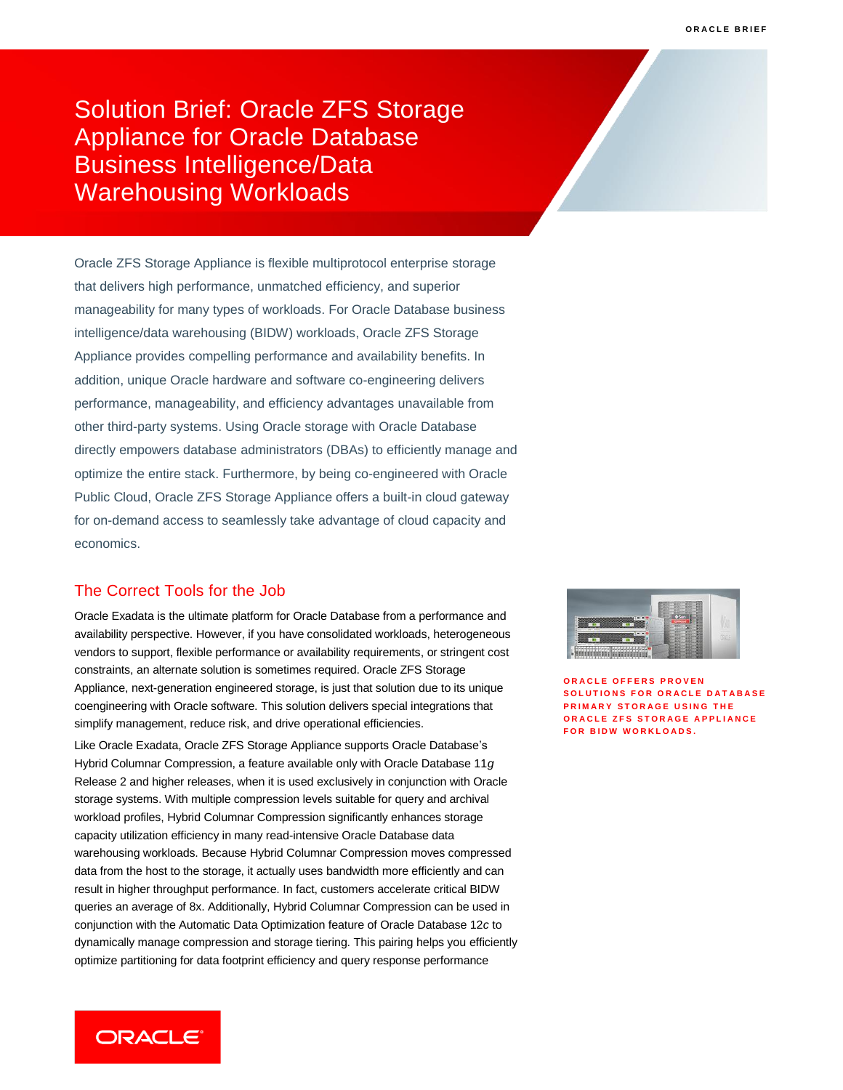Solution Brief: Oracle ZFS Storage Appliance for Oracle Database Business Intelligence/Data Warehousing Workloads

Oracle ZFS Storage Appliance is flexible multiprotocol enterprise storage that delivers high performance, unmatched efficiency, and superior manageability for many types of workloads. For Oracle Database business intelligence/data warehousing (BIDW) workloads, Oracle ZFS Storage Appliance provides compelling performance and availability benefits. In addition, unique Oracle hardware and software co-engineering delivers performance, manageability, and efficiency advantages unavailable from other third-party systems. Using Oracle storage with Oracle Database directly empowers database administrators (DBAs) to efficiently manage and optimize the entire stack. Furthermore, by being co-engineered with Oracle Public Cloud, Oracle ZFS Storage Appliance offers a built-in cloud gateway for on-demand access to seamlessly take advantage of cloud capacity and economics.

## The Correct Tools for the Job

Oracle Exadata is the ultimate platform for Oracle Database from a performance and availability perspective. However, if you have consolidated workloads, heterogeneous vendors to support, flexible performance or availability requirements, or stringent cost constraints, an alternate solution is sometimes required. Oracle ZFS Storage Appliance, next-generation engineered storage, is just that solution due to its unique coengineering with Oracle software. This solution delivers special integrations that simplify management, reduce risk, and drive operational efficiencies.

Like Oracle Exadata, Oracle ZFS Storage Appliance supports Oracle Database's Hybrid Columnar Compression, a feature available only with Oracle Database 11*g* Release 2 and higher releases, when it is used exclusively in conjunction with Oracle storage systems. With multiple compression levels suitable for query and archival workload profiles, Hybrid Columnar Compression significantly enhances storage capacity utilization efficiency in many read-intensive Oracle Database data warehousing workloads. Because Hybrid Columnar Compression moves compressed data from the host to the storage, it actually uses bandwidth more efficiently and can result in higher throughput performance. In fact, customers accelerate critical BIDW queries an average of 8x. Additionally, Hybrid Columnar Compression can be used in conjunction with the Automatic Data Optimization feature of Oracle Database 12*c* to dynamically manage compression and storage tiering. This pairing helps you efficiently optimize partitioning for data footprint efficiency and query response performance



**O R A C L E O F F E R S P R O V E N SOLUTIONS FOR ORACLE DATABASE PRIMARY STORAGE USING THE O R A C L E Z F S S T O R A G E A P P L I A N C E FOR BIDW WORKLOADS.** 

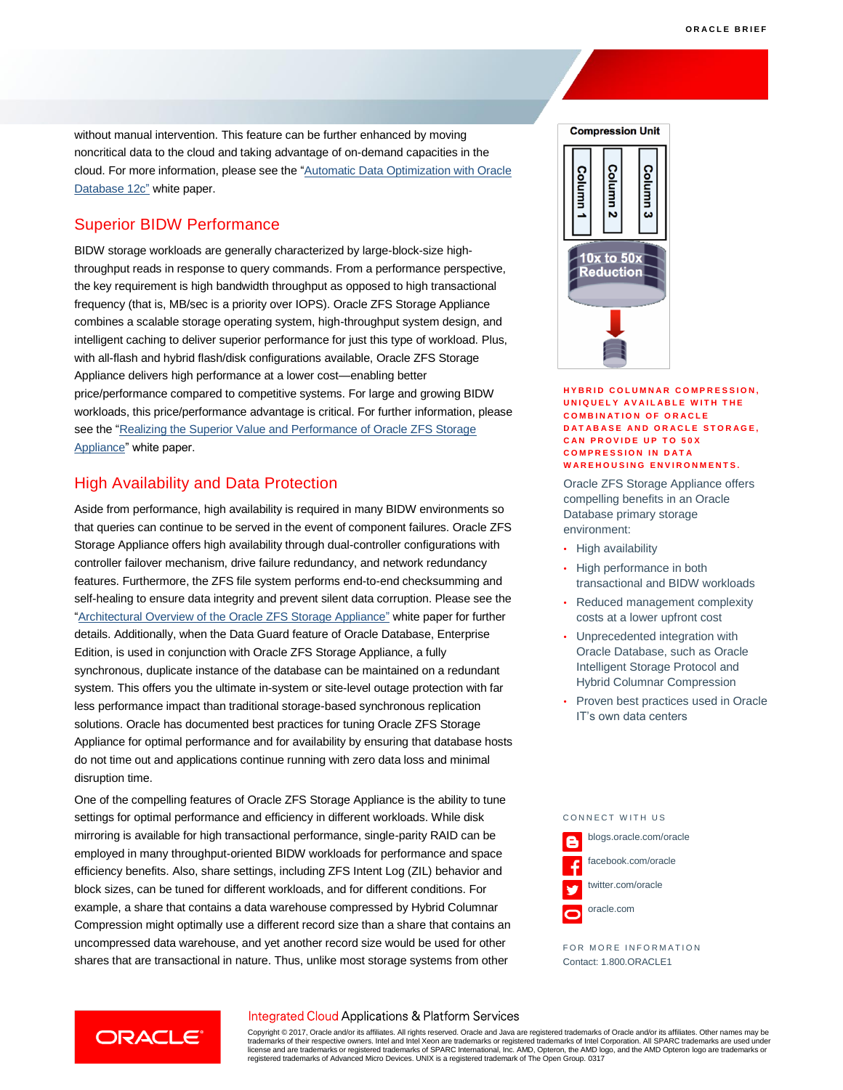without manual intervention. This feature can be further enhanced by moving noncritical data to the cloud and taking advantage of on-demand capacities in the cloud. For more information, please see the ["Automatic Data Optimization with Oracle](http://www.oracle.com/technetwork/database/automatic-data-optimization-wp-12c-1896120.pdf)  [Database 12c"](http://www.oracle.com/technetwork/database/automatic-data-optimization-wp-12c-1896120.pdf) white paper.

# Superior BIDW Performance

BIDW storage workloads are generally characterized by large-block-size highthroughput reads in response to query commands. From a performance perspective, the key requirement is high bandwidth throughput as opposed to high transactional frequency (that is, MB/sec is a priority over IOPS). Oracle ZFS Storage Appliance combines a scalable storage operating system, high-throughput system design, and intelligent caching to deliver superior performance for just this type of workload. Plus, with all-flash and hybrid flash/disk configurations available, Oracle ZFS Storage Appliance delivers high performance at a lower cost—enabling better price/performance compared to competitive systems. For large and growing BIDW workloads, this price/performance advantage is critical. For further information, please see the ["Realizing the Superior Value and Performance of Oracle ZFS Storage](http://www.oracle.com/us/products/servers-storage/storage/nas/resources/zfs-sa-businessvaluewp-final-1845658.pdf)  [Appliance"](http://www.oracle.com/us/products/servers-storage/storage/nas/resources/zfs-sa-businessvaluewp-final-1845658.pdf) white paper.

# High Availability and Data Protection

**ORACLE** 

Aside from performance, high availability is required in many BIDW environments so that queries can continue to be served in the event of component failures. Oracle ZFS Storage Appliance offers high availability through dual-controller configurations with controller failover mechanism, drive failure redundancy, and network redundancy features. Furthermore, the ZFS file system performs end-to-end checksumming and self-healing to ensure data integrity and prevent silent data corruption. Please see the ["Architectural Overview of the Oracle ZFS Storage Appliance"](http://www.oracle.com/technetwork/server-storage/sun-unified-storage/documentation/o14-001-architecture-overview-zfsa-2099942.pdf) white paper for further details. Additionally, when the Data Guard feature of Oracle Database, Enterprise Edition, is used in conjunction with Oracle ZFS Storage Appliance, a fully synchronous, duplicate instance of the database can be maintained on a redundant system. This offers you the ultimate in-system or site-level outage protection with far less performance impact than traditional storage-based synchronous replication solutions. Oracle has documented best practices for tuning Oracle ZFS Storage Appliance for optimal performance and for availability by ensuring that database hosts do not time out and applications continue running with zero data loss and minimal disruption time.

One of the compelling features of Oracle ZFS Storage Appliance is the ability to tune settings for optimal performance and efficiency in different workloads. While disk mirroring is available for high transactional performance, single-parity RAID can be employed in many throughput-oriented BIDW workloads for performance and space efficiency benefits. Also, share settings, including ZFS Intent Log (ZIL) behavior and block sizes, can be tuned for different workloads, and for different conditions. For example, a share that contains a data warehouse compressed by Hybrid Columnar Compression might optimally use a different record size than a share that contains an uncompressed data warehouse, and yet another record size would be used for other shares that are transactional in nature. Thus, unlike most storage systems from other



#### **HYBRID COLUMNAR COMPRESSION, U N I Q U E L Y A V A I L A B L E W I T H T H E COMBINATION OF ORACLE DATABASE AND ORACLE STORAGE, CAN PROVIDE UP TO 50X COMPRESSION IN DATA WAREHOUSING ENVIRONMENTS.**

Oracle ZFS Storage Appliance offers compelling benefits in an Oracle Database primary storage environment:

- High availability
- High performance in both transactional and BIDW workloads
- Reduced management complexity costs at a lower upfront cost
- Unprecedented integration with Oracle Database, such as Oracle Intelligent Storage Protocol and Hybrid Columnar Compression
- Proven best practices used in Oracle IT's own data centers



FOR MORE INFORMATION Contact: 1.800.ORACLE1

## Integrated Cloud Applications & Platform Services

Copyright © 2017, Oracle and/or its affiliates. All rights reserved. Oracle and Java are registered trademarks of Oracle and/or its affiliates. Other names may be trademarks of their respective owners. Intel and Intel Xeon are trademarks or registered trademarks of Intel Corporation. All SPARC trademarks are used under<br>license and are trademarks or registered trademarks of SPARC Int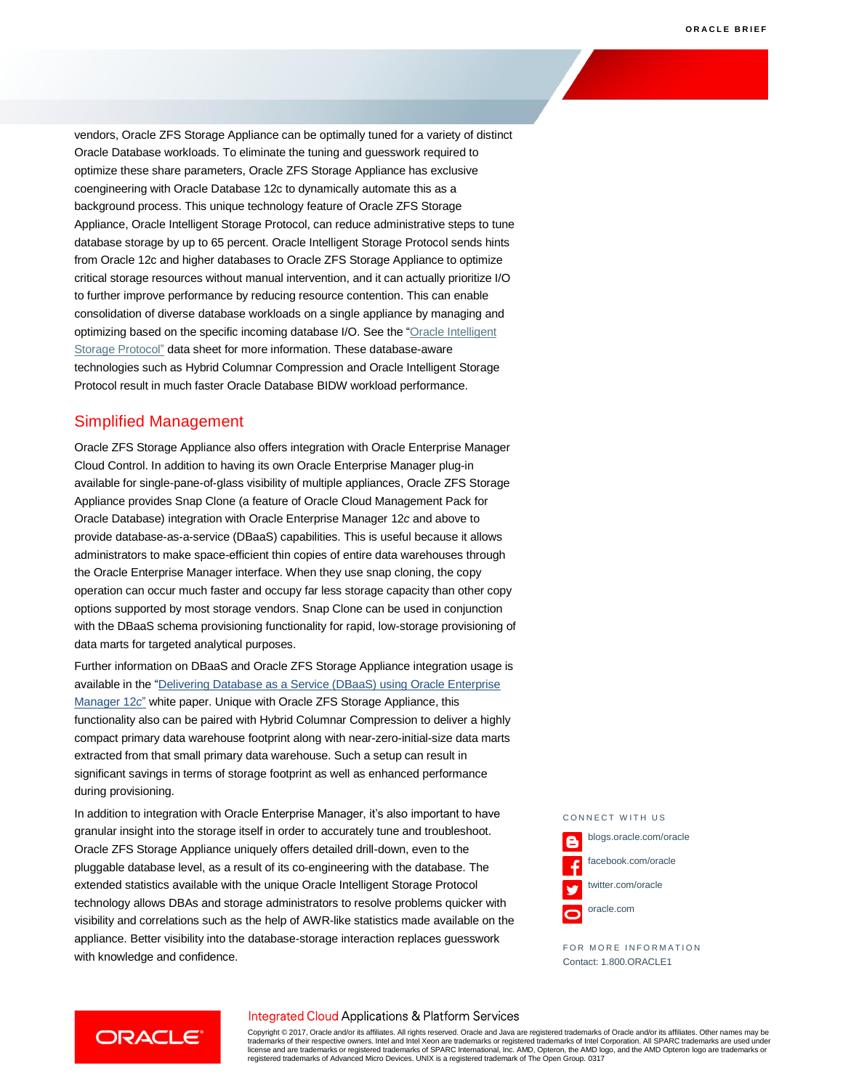vendors, Oracle ZFS Storage Appliance can be optimally tuned for a variety of distinct Oracle Database workloads. To eliminate the tuning and guesswork required to optimize these share parameters, Oracle ZFS Storage Appliance has exclusive coengineering with Oracle Database 12c to dynamically automate this as a background process. This unique technology feature of Oracle ZFS Storage Appliance, Oracle Intelligent Storage Protocol, can reduce administrative steps to tune database storage by up to 65 percent. Oracle Intelligent Storage Protocol sends hints from Oracle 12c and higher databases to Oracle ZFS Storage Appliance to optimize critical storage resources without manual intervention, and it can actually prioritize I/O to further improve performance by reducing resource contention. This can enable consolidation of diverse database workloads on a single appliance by managing and optimizing based on the specific incoming database I/O. See the ["Oracle Intelligent](http://www.oracle.com/us/products/servers-storage/storage/nas/oracle-isp-ds-final-2139042.pdf)  [Storage Protocol"](http://www.oracle.com/us/products/servers-storage/storage/nas/oracle-isp-ds-final-2139042.pdf) data sheet for more information. These database-aware technologies such as Hybrid Columnar Compression and Oracle Intelligent Storage Protocol result in much faster Oracle Database BIDW workload performance.

## Simplified Management

ORACLE<sup>®</sup>

Oracle ZFS Storage Appliance also offers integration with Oracle Enterprise Manager Cloud Control. In addition to having its own Oracle Enterprise Manager plug-in available for single-pane-of-glass visibility of multiple appliances, Oracle ZFS Storage Appliance provides Snap Clone (a feature of Oracle Cloud Management Pack for Oracle Database) integration with Oracle Enterprise Manager 12*c* and above to provide database-as-a-service (DBaaS) capabilities. This is useful because it allows administrators to make space-efficient thin copies of entire data warehouses through the Oracle Enterprise Manager interface. When they use snap cloning, the copy operation can occur much faster and occupy far less storage capacity than other copy options supported by most storage vendors. Snap Clone can be used in conjunction with the DBaaS schema provisioning functionality for rapid, low-storage provisioning of data marts for targeted analytical purposes.

Further information on DBaaS and Oracle ZFS Storage Appliance integration usage is available in the ["Delivering Database as a Service \(DBaaS\) using Oracle Enterprise](http://www.oracle.com/technetwork/oem/cloud-mgmt/dbaas-overview-wp-1915651.pdf)  [Manager 12](http://www.oracle.com/technetwork/oem/cloud-mgmt/dbaas-overview-wp-1915651.pdf)*c*" white paper. Unique with Oracle ZFS Storage Appliance, this functionality also can be paired with Hybrid Columnar Compression to deliver a highly compact primary data warehouse footprint along with near-zero-initial-size data marts extracted from that small primary data warehouse. Such a setup can result in significant savings in terms of storage footprint as well as enhanced performance during provisioning.

In addition to integration with Oracle Enterprise Manager, it's also important to have granular insight into the storage itself in order to accurately tune and troubleshoot. Oracle ZFS Storage Appliance uniquely offers detailed drill-down, even to the pluggable database level, as a result of its co-engineering with the database. The extended statistics available with the unique Oracle Intelligent Storage Protocol technology allows DBAs and storage administrators to resolve problems quicker with visibility and correlations such as the help of AWR-like statistics made available on the appliance. Better visibility into the database-storage interaction replaces guesswork with knowledge and confidence.

CONNECT WITH US blogs.oracle.com/oracle facebook.com/oracle twitter.com/oracle v oracle.com

FOR MORE INFORMATION Contact: 1.800.ORACLE1

## Integrated Cloud Applications & Platform Services

Copyright © 2017, Oracle and/or its affiliates. All rights reserved. Oracle and Java are registered trademarks of Oracle and/or its affiliates. Other names may be trademarks of their respective owners. Intel and Intel Xeon are trademarks or registered trademarks of Intel Corporation. All SPARC trademarks are used under<br>license and are trademarks or registered trademarks of SPARC Int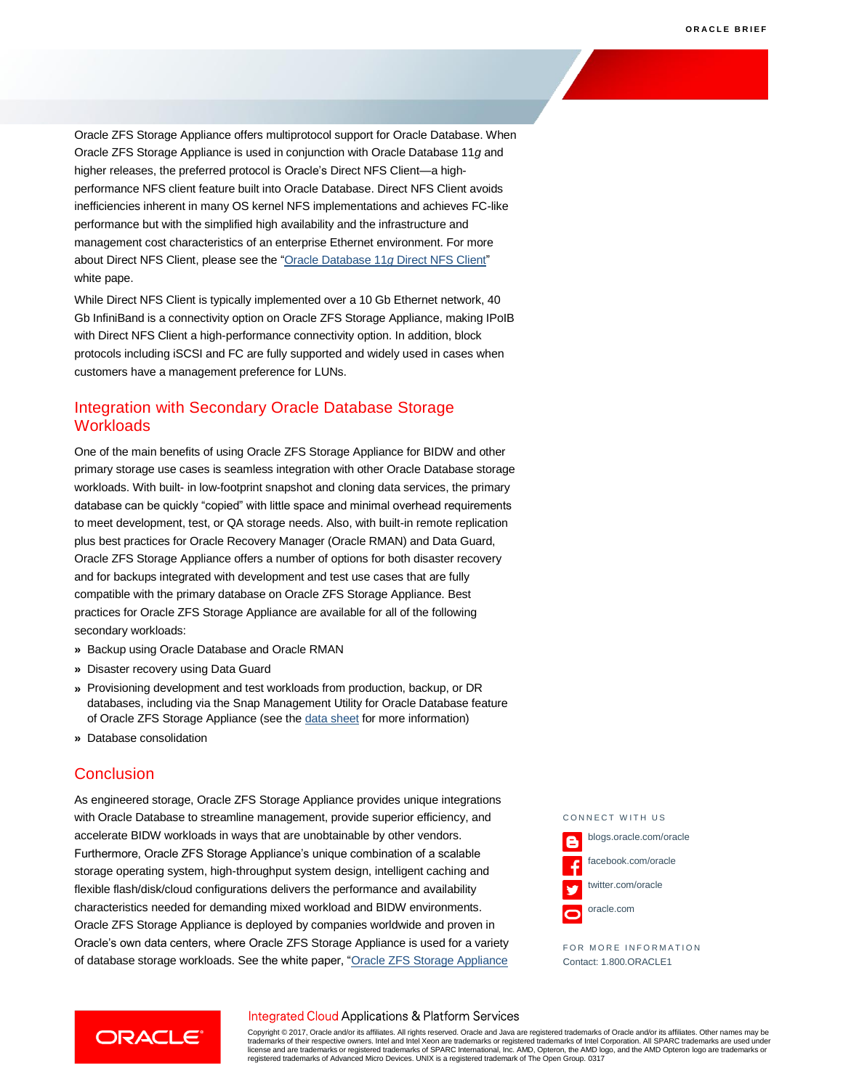Oracle ZFS Storage Appliance offers multiprotocol support for Oracle Database. When Oracle ZFS Storage Appliance is used in conjunction with Oracle Database 11*g* and higher releases, the preferred protocol is Oracle's Direct NFS Client—a highperformance NFS client feature built into Oracle Database. Direct NFS Client avoids inefficiencies inherent in many OS kernel NFS implementations and achieves FC-like performance but with the simplified high availability and the infrastructure and management cost characteristics of an enterprise Ethernet environment. For more about Direct NFS Client, please see the ["Oracle Database 11](http://www.oracle.com/technetwork/articles/directnfsclient-11gr1-twp-129785.pdf)*g* Direct NFS Client" white pape.

While Direct NFS Client is typically implemented over a 10 Gb Ethernet network, 40 Gb InfiniBand is a connectivity option on Oracle ZFS Storage Appliance, making IPoIB with Direct NFS Client a high-performance connectivity option. In addition, block protocols including iSCSI and FC are fully supported and widely used in cases when customers have a management preference for LUNs.

# Integration with Secondary Oracle Database Storage **Workloads**

One of the main benefits of using Oracle ZFS Storage Appliance for BIDW and other primary storage use cases is seamless integration with other Oracle Database storage workloads. With built- in low-footprint snapshot and cloning data services, the primary database can be quickly "copied" with little space and minimal overhead requirements to meet development, test, or QA storage needs. Also, with built-in remote replication plus best practices for Oracle Recovery Manager (Oracle RMAN) and Data Guard, Oracle ZFS Storage Appliance offers a number of options for both disaster recovery and for backups integrated with development and test use cases that are fully compatible with the primary database on Oracle ZFS Storage Appliance. Best practices for Oracle ZFS Storage Appliance are available for all of the following secondary workloads:

- **»** Backup using Oracle Database and Oracle RMAN
- **»** Disaster recovery using Data Guard
- **»** Provisioning development and test workloads from production, backup, or DR databases, including via the Snap Management Utility for Oracle Database feature of Oracle ZFS Storage Appliance (see th[e data sheet](http://www.oracle.com/us/products/servers-storage/storage/nas/snap/smu-datasheet-1903178.pdf) for more information)
- **»** Database consolidation

## **Conclusion**

As engineered storage, Oracle ZFS Storage Appliance provides unique integrations with Oracle Database to streamline management, provide superior efficiency, and accelerate BIDW workloads in ways that are unobtainable by other vendors. Furthermore, Oracle ZFS Storage Appliance's unique combination of a scalable storage operating system, high-throughput system design, intelligent caching and flexible flash/disk/cloud configurations delivers the performance and availability characteristics needed for demanding mixed workload and BIDW environments. Oracle ZFS Storage Appliance is deployed by companies worldwide and proven in Oracle's own data centers, where Oracle ZFS Storage Appliance is used for a variety of database storage workloads. See the white paper, "Oracle ZFS Storage Appliance

CONNECT WITH US blogs.oracle.com/oracle facebook.com/oracle twitter.com/oracle oracle.com

FOR MORE INFORMATION Contact: 1.800.ORACLE1

## Integrated Cloud Applications & Platform Services



Copyright © 2017, Oracle and/or its affiliates. All rights reserved. Oracle and Java are registered trademarks of Oracle and/or its affiliates. Other names may be trademarks of their respective owners. Intel and Intel Xeon are trademarks or registered trademarks of Intel Corporation. All SPARC trademarks are used under<br>license and are trademarks or registered trademarks of SPARC Int